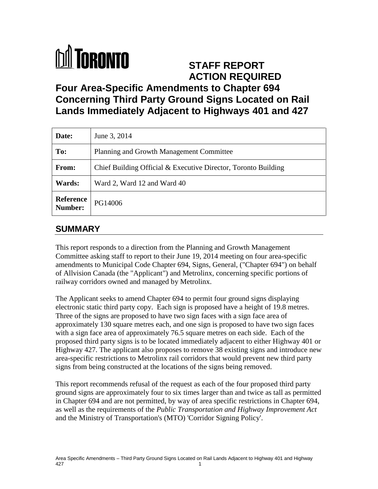

## **STAFF REPORT ACTION REQUIRED**

# **Four Area-Specific Amendments to Chapter 694 Concerning Third Party Ground Signs Located on Rail Lands Immediately Adjacent to Highways 401 and 427**

| Date:                       | June 3, 2014                                                   |
|-----------------------------|----------------------------------------------------------------|
| To:                         | Planning and Growth Management Committee                       |
| From:                       | Chief Building Official & Executive Director, Toronto Building |
| Wards:                      | Ward 2, Ward 12 and Ward 40                                    |
| <b>Reference</b><br>Number: | PG14006                                                        |

### **SUMMARY**

This report responds to a direction from the Planning and Growth Management Committee asking staff to report to their June 19, 2014 meeting on four area-specific amendments to Municipal Code Chapter 694, Signs, General, ("Chapter 694") on behalf of Allvision Canada (the "Applicant") and Metrolinx, concerning specific portions of railway corridors owned and managed by Metrolinx.

The Applicant seeks to amend Chapter 694 to permit four ground signs displaying electronic static third party copy. Each sign is proposed have a height of 19.8 metres. Three of the signs are proposed to have two sign faces with a sign face area of approximately 130 square metres each, and one sign is proposed to have two sign faces with a sign face area of approximately 76.5 square metres on each side. Each of the proposed third party signs is to be located immediately adjacent to either Highway 401 or Highway 427. The applicant also proposes to remove 38 existing signs and introduce new area-specific restrictions to Metrolinx rail corridors that would prevent new third party signs from being constructed at the locations of the signs being removed.

This report recommends refusal of the request as each of the four proposed third party ground signs are approximately four to six times larger than and twice as tall as permitted in Chapter 694 and are not permitted, by way of area specific restrictions in Chapter 694, as well as the requirements of the *Public Transportation and Highway Improvement Act* and the Ministry of Transportation's (MTO) 'Corridor Signing Policy'.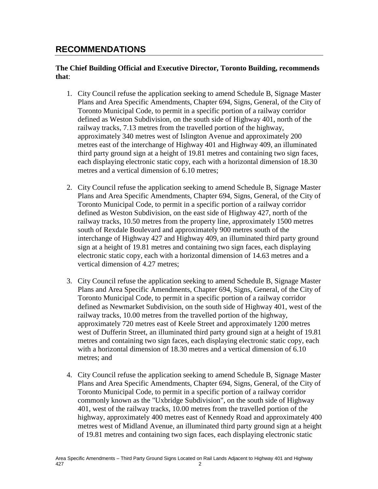### **RECOMMENDATIONS**

#### **The Chief Building Official and Executive Director, Toronto Building, recommends that**:

- 1. City Council refuse the application seeking to amend Schedule B, Signage Master Plans and Area Specific Amendments, Chapter 694, Signs, General, of the City of Toronto Municipal Code, to permit in a specific portion of a railway corridor defined as Weston Subdivision, on the south side of Highway 401, north of the railway tracks, 7.13 metres from the travelled portion of the highway, approximately 340 metres west of Islington Avenue and approximately 200 metres east of the interchange of Highway 401 and Highway 409, an illuminated third party ground sign at a height of 19.81 metres and containing two sign faces, each displaying electronic static copy, each with a horizontal dimension of 18.30 metres and a vertical dimension of 6.10 metres;
- 2. City Council refuse the application seeking to amend Schedule B, Signage Master Plans and Area Specific Amendments, Chapter 694, Signs, General, of the City of Toronto Municipal Code, to permit in a specific portion of a railway corridor defined as Weston Subdivision, on the east side of Highway 427, north of the railway tracks, 10.50 metres from the property line, approximately 1500 metres south of Rexdale Boulevard and approximately 900 metres south of the interchange of Highway 427 and Highway 409, an illuminated third party ground sign at a height of 19.81 metres and containing two sign faces, each displaying electronic static copy, each with a horizontal dimension of 14.63 metres and a vertical dimension of 4.27 metres;
- 3. City Council refuse the application seeking to amend Schedule B, Signage Master Plans and Area Specific Amendments, Chapter 694, Signs, General, of the City of Toronto Municipal Code, to permit in a specific portion of a railway corridor defined as Newmarket Subdivision, on the south side of Highway 401, west of the railway tracks, 10.00 metres from the travelled portion of the highway, approximately 720 metres east of Keele Street and approximately 1200 metres west of Dufferin Street, an illuminated third party ground sign at a height of 19.81 metres and containing two sign faces, each displaying electronic static copy, each with a horizontal dimension of 18.30 metres and a vertical dimension of 6.10 metres; and
- 4. City Council refuse the application seeking to amend Schedule B, Signage Master Plans and Area Specific Amendments, Chapter 694, Signs, General, of the City of Toronto Municipal Code, to permit in a specific portion of a railway corridor commonly known as the "Uxbridge Subdivision", on the south side of Highway 401, west of the railway tracks, 10.00 metres from the travelled portion of the highway, approximately 400 metres east of Kennedy Road and approximately 400 metres west of Midland Avenue, an illuminated third party ground sign at a height of 19.81 metres and containing two sign faces, each displaying electronic static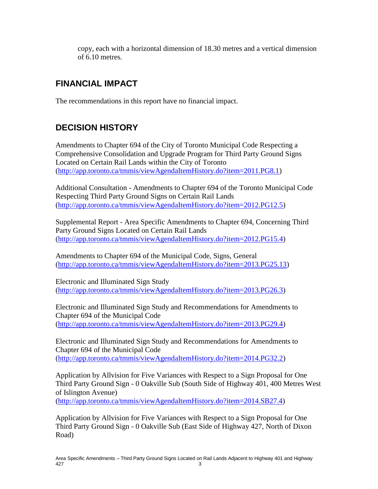copy, each with a horizontal dimension of 18.30 metres and a vertical dimension of 6.10 metres.

### **FINANCIAL IMPACT**

The recommendations in this report have no financial impact.

## **DECISION HISTORY**

Amendments to Chapter 694 of the City of Toronto Municipal Code Respecting a Comprehensive Consolidation and Upgrade Program for Third Party Ground Signs Located on Certain Rail Lands within the City of Toronto [\(http://app.toronto.ca/tmmis/viewAgendaItemHistory.do?item=2011.PG8.1\)](http://app.toronto.ca/tmmis/viewAgendaItemHistory.do?item=2011.PG8.1)

Additional Consultation - Amendments to Chapter 694 of the Toronto Municipal Code Respecting Third Party Ground Signs on Certain Rail Lands [\(http://app.toronto.ca/tmmis/viewAgendaItemHistory.do?item=2012.PG12.5\)](http://app.toronto.ca/tmmis/viewAgendaItemHistory.do?item=2012.PG12.5)

Supplemental Report - Area Specific Amendments to Chapter 694, Concerning Third Party Ground Signs Located on Certain Rail Lands [\(http://app.toronto.ca/tmmis/viewAgendaItemHistory.do?item=2012.PG15.4\)](http://app.toronto.ca/tmmis/viewAgendaItemHistory.do?item=2012.PG15.4)

Amendments to Chapter 694 of the Municipal Code, Signs, General [\(http://app.toronto.ca/tmmis/viewAgendaItemHistory.do?item=2013.PG25.13\)](http://app.toronto.ca/tmmis/viewAgendaItemHistory.do?item=2013.PG25.13)

Electronic and Illuminated Sign Study [\(http://app.toronto.ca/tmmis/viewAgendaItemHistory.do?item=2013.PG26.3\)](http://app.toronto.ca/tmmis/viewAgendaItemHistory.do?item=2013.PG26.3)

Electronic and Illuminated Sign Study and Recommendations for Amendments to Chapter 694 of the Municipal Code [\(http://app.toronto.ca/tmmis/viewAgendaItemHistory.do?item=2013.PG29.4\)](http://app.toronto.ca/tmmis/viewAgendaItemHistory.do?item=2013.PG29.4)

Electronic and Illuminated Sign Study and Recommendations for Amendments to Chapter 694 of the Municipal Code [\(http://app.toronto.ca/tmmis/viewAgendaItemHistory.do?item=2014.PG32.2\)](http://app.toronto.ca/tmmis/viewAgendaItemHistory.do?item=2014.PG32.2)

Application by Allvision for Five Variances with Respect to a Sign Proposal for One Third Party Ground Sign - 0 Oakville Sub (South Side of Highway 401, 400 Metres West of Islington Avenue)

[\(http://app.toronto.ca/tmmis/viewAgendaItemHistory.do?item=2014.SB27.4\)](http://app.toronto.ca/tmmis/viewAgendaItemHistory.do?item=2014.SB27.4)

Application by Allvision for Five Variances with Respect to a Sign Proposal for One Third Party Ground Sign - 0 Oakville Sub (East Side of Highway 427, North of Dixon Road)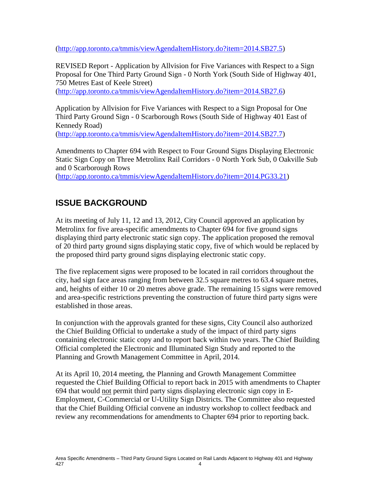[\(http://app.toronto.ca/tmmis/viewAgendaItemHistory.do?item=2014.SB27.5\)](http://app.toronto.ca/tmmis/viewAgendaItemHistory.do?item=2014.SB27.5)

REVISED Report - Application by Allvision for Five Variances with Respect to a Sign Proposal for One Third Party Ground Sign - 0 North York (South Side of Highway 401, 750 Metres East of Keele Street)

[\(http://app.toronto.ca/tmmis/viewAgendaItemHistory.do?item=2014.SB27.6\)](http://app.toronto.ca/tmmis/viewAgendaItemHistory.do?item=2014.SB27.6)

Application by Allvision for Five Variances with Respect to a Sign Proposal for One Third Party Ground Sign - 0 Scarborough Rows (South Side of Highway 401 East of Kennedy Road)

[\(http://app.toronto.ca/tmmis/viewAgendaItemHistory.do?item=2014.SB27.7\)](http://app.toronto.ca/tmmis/viewAgendaItemHistory.do?item=2014.SB27.7)

Amendments to Chapter 694 with Respect to Four Ground Signs Displaying Electronic Static Sign Copy on Three Metrolinx Rail Corridors - 0 North York Sub, 0 Oakville Sub and 0 Scarborough Rows

[\(http://app.toronto.ca/tmmis/viewAgendaItemHistory.do?item=2014.PG33.21\)](http://app.toronto.ca/tmmis/viewAgendaItemHistory.do?item=2014.PG33.21)

## **ISSUE BACKGROUND**

At its meeting of July 11, 12 and 13, 2012, City Council approved an application by Metrolinx for five area-specific amendments to Chapter 694 for five ground signs displaying third party electronic static sign copy. The application proposed the removal of 20 third party ground signs displaying static copy, five of which would be replaced by the proposed third party ground signs displaying electronic static copy.

The five replacement signs were proposed to be located in rail corridors throughout the city, had sign face areas ranging from between 32.5 square metres to 63.4 square metres, and, heights of either 10 or 20 metres above grade. The remaining 15 signs were removed and area-specific restrictions preventing the construction of future third party signs were established in those areas.

In conjunction with the approvals granted for these signs, City Council also authorized the Chief Building Official to undertake a study of the impact of third party signs containing electronic static copy and to report back within two years. The Chief Building Official completed the Electronic and Illuminated Sign Study and reported to the Planning and Growth Management Committee in April, 2014.

At its April 10, 2014 meeting, the Planning and Growth Management Committee requested the Chief Building Official to report back in 2015 with amendments to Chapter 694 that would not permit third party signs displaying electronic sign copy in E-Employment, C-Commercial or U-Utility Sign Districts. The Committee also requested that the Chief Building Official convene an industry workshop to collect feedback and review any recommendations for amendments to Chapter 694 prior to reporting back.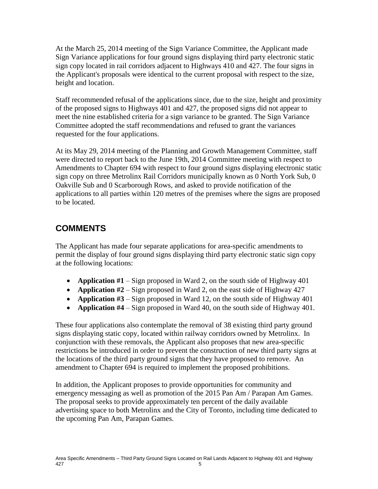At the March 25, 2014 meeting of the Sign Variance Committee, the Applicant made Sign Variance applications for four ground signs displaying third party electronic static sign copy located in rail corridors adjacent to Highways 410 and 427. The four signs in the Applicant's proposals were identical to the current proposal with respect to the size, height and location.

Staff recommended refusal of the applications since, due to the size, height and proximity of the proposed signs to Highways 401 and 427, the proposed signs did not appear to meet the nine established criteria for a sign variance to be granted. The Sign Variance Committee adopted the staff recommendations and refused to grant the variances requested for the four applications.

At its May 29, 2014 meeting of the Planning and Growth Management Committee, staff were directed to report back to the June 19th, 2014 Committee meeting with respect to Amendments to Chapter 694 with respect to four ground signs displaying electronic static sign copy on three Metrolinx Rail Corridors municipally known as 0 North York Sub, 0 Oakville Sub and 0 Scarborough Rows, and asked to provide notification of the applications to all parties within 120 metres of the premises where the signs are proposed to be located.

### **COMMENTS**

The Applicant has made four separate applications for area-specific amendments to permit the display of four ground signs displaying third party electronic static sign copy at the following locations:

- **Application #1** Sign proposed in Ward 2, on the south side of Highway 401
- **Application #2** Sign proposed in Ward 2, on the east side of Highway 427
- **Application #3** Sign proposed in Ward 12, on the south side of Highway 401
- **Application #4** Sign proposed in Ward 40, on the south side of Highway 401.

These four applications also contemplate the removal of 38 existing third party ground signs displaying static copy, located within railway corridors owned by Metrolinx. In conjunction with these removals, the Applicant also proposes that new area-specific restrictions be introduced in order to prevent the construction of new third party signs at the locations of the third party ground signs that they have proposed to remove. An amendment to Chapter 694 is required to implement the proposed prohibitions.

In addition, the Applicant proposes to provide opportunities for community and emergency messaging as well as promotion of the 2015 Pan Am / Parapan Am Games. The proposal seeks to provide approximately ten percent of the daily available advertising space to both Metrolinx and the City of Toronto, including time dedicated to the upcoming Pan Am, Parapan Games.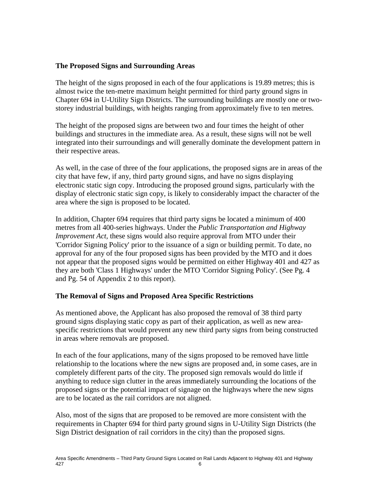#### **The Proposed Signs and Surrounding Areas**

The height of the signs proposed in each of the four applications is 19.89 metres; this is almost twice the ten-metre maximum height permitted for third party ground signs in Chapter 694 in U-Utility Sign Districts. The surrounding buildings are mostly one or twostorey industrial buildings, with heights ranging from approximately five to ten metres.

The height of the proposed signs are between two and four times the height of other buildings and structures in the immediate area. As a result, these signs will not be well integrated into their surroundings and will generally dominate the development pattern in their respective areas.

As well, in the case of three of the four applications, the proposed signs are in areas of the city that have few, if any, third party ground signs, and have no signs displaying electronic static sign copy. Introducing the proposed ground signs, particularly with the display of electronic static sign copy, is likely to considerably impact the character of the area where the sign is proposed to be located.

In addition, Chapter 694 requires that third party signs be located a minimum of 400 metres from all 400-series highways. Under the *Public Transportation and Highway Improvement Act, these signs would also require approval from MTO under their* 'Corridor Signing Policy' prior to the issuance of a sign or building permit. To date, no approval for any of the four proposed signs has been provided by the MTO and it does not appear that the proposed signs would be permitted on either Highway 401 and 427 as they are both 'Class 1 Highways' under the MTO 'Corridor Signing Policy'. (See Pg. 4 and Pg. 54 of Appendix 2 to this report).

#### **The Removal of Signs and Proposed Area Specific Restrictions**

As mentioned above, the Applicant has also proposed the removal of 38 third party ground signs displaying static copy as part of their application, as well as new areaspecific restrictions that would prevent any new third party signs from being constructed in areas where removals are proposed.

In each of the four applications, many of the signs proposed to be removed have little relationship to the locations where the new signs are proposed and, in some cases, are in completely different parts of the city. The proposed sign removals would do little if anything to reduce sign clutter in the areas immediately surrounding the locations of the proposed signs or the potential impact of signage on the highways where the new signs are to be located as the rail corridors are not aligned.

Also, most of the signs that are proposed to be removed are more consistent with the requirements in Chapter 694 for third party ground signs in U-Utility Sign Districts (the Sign District designation of rail corridors in the city) than the proposed signs.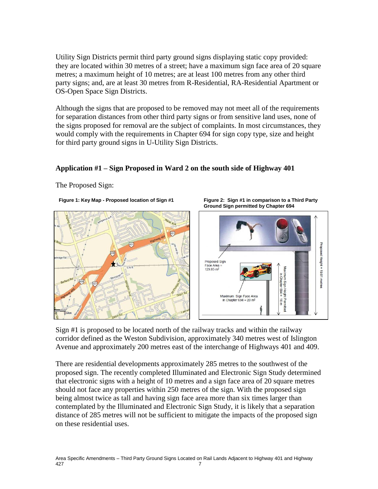Utility Sign Districts permit third party ground signs displaying static copy provided: they are located within 30 metres of a street; have a maximum sign face area of 20 square metres; a maximum height of 10 metres; are at least 100 metres from any other third party signs; and, are at least 30 metres from R-Residential, RA-Residential Apartment or OS-Open Space Sign Districts.

Although the signs that are proposed to be removed may not meet all of the requirements for separation distances from other third party signs or from sensitive land uses, none of the signs proposed for removal are the subject of complaints. In most circumstances, they would comply with the requirements in Chapter 694 for sign copy type, size and height for third party ground signs in U-Utility Sign Districts.

#### **Application #1 – Sign Proposed in Ward 2 on the south side of Highway 401**

The Proposed Sign:

**Figure 1: Key Map - Proposed location of Sign #1**



**Figure 2: Sign #1 in comparison to a Third Party Ground Sign permitted by Chapter 694**



Sign #1 is proposed to be located north of the railway tracks and within the railway corridor defined as the Weston Subdivision, approximately 340 metres west of Islington Avenue and approximately 200 metres east of the interchange of Highways 401 and 409.

There are residential developments approximately 285 metres to the southwest of the proposed sign. The recently completed Illuminated and Electronic Sign Study determined that electronic signs with a height of 10 metres and a sign face area of 20 square metres should not face any properties within 250 metres of the sign. With the proposed sign being almost twice as tall and having sign face area more than six times larger than contemplated by the Illuminated and Electronic Sign Study, it is likely that a separation distance of 285 metres will not be sufficient to mitigate the impacts of the proposed sign on these residential uses.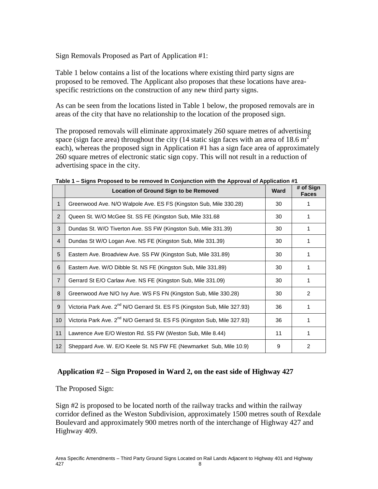Sign Removals Proposed as Part of Application #1:

Table 1 below contains a list of the locations where existing third party signs are proposed to be removed. The Applicant also proposes that these locations have areaspecific restrictions on the construction of any new third party signs.

As can be seen from the locations listed in Table 1 below, the proposed removals are in areas of the city that have no relationship to the location of the proposed sign.

The proposed removals will eliminate approximately 260 square metres of advertising space (sign face area) throughout the city (14 static sign faces with an area of 18.6  $m<sup>2</sup>$ each), whereas the proposed sign in Application #1 has a sign face area of approximately 260 square metres of electronic static sign copy. This will not result in a reduction of advertising space in the city.

|                 | <b>Location of Ground Sign to be Removed</b>                                         | <b>Ward</b> | # of Sign<br><b>Faces</b> |
|-----------------|--------------------------------------------------------------------------------------|-------------|---------------------------|
| $\mathbf{1}$    | Greenwood Ave. N/O Walpole Ave. ES FS (Kingston Sub, Mile 330.28)                    | 30          |                           |
| 2               | Queen St. W/O McGee St. SS FE (Kingston Sub, Mile 331.68                             | 30          |                           |
| 3               | Dundas St. W/O Tiverton Ave. SS FW (Kingston Sub, Mile 331.39)                       | 30          | 1                         |
| $\overline{4}$  | Dundas St W/O Logan Ave. NS FE (Kingston Sub, Mile 331.39)                           | 30          |                           |
| 5               | Eastern Ave. Broadview Ave. SS FW (Kingston Sub, Mile 331.89)                        | 30          |                           |
| 6               | Eastern Ave. W/O Dibble St. NS FE (Kingston Sub, Mile 331.89)                        | 30          |                           |
| $\overline{7}$  | Gerrard St E/O Carlaw Ave. NS FE (Kingston Sub, Mile 331.09)                         | 30          |                           |
| 8               | Greenwood Ave N/O Ivy Ave. WS FS FN (Kingston Sub, Mile 330.28)                      | 30          | 2                         |
| 9               | Victoria Park Ave. 2 <sup>nd</sup> N/O Gerrard St. ES FS (Kingston Sub, Mile 327.93) | 36          |                           |
| 10 <sup>°</sup> | Victoria Park Ave. 2 <sup>nd</sup> N/O Gerrard St. ES FS (Kingston Sub, Mile 327.93) | 36          |                           |
| 11              | Lawrence Ave E/O Weston Rd. SS FW (Weston Sub, Mile 8.44)                            | 11          |                           |
| 12              | Sheppard Ave. W. E/O Keele St. NS FW FE (Newmarket Sub, Mile 10.9)                   | 9           | 2                         |

**Table 1 – Signs Proposed to be removed In Conjunction with the Approval of Application #1**

### **Application #2 – Sign Proposed in Ward 2, on the east side of Highway 427**

The Proposed Sign:

Sign #2 is proposed to be located north of the railway tracks and within the railway corridor defined as the Weston Subdivision, approximately 1500 metres south of Rexdale Boulevard and approximately 900 metres north of the interchange of Highway 427 and Highway 409.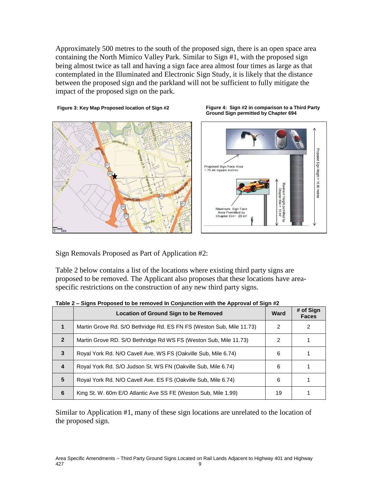Approximately 500 metres to the south of the proposed sign, there is an open space area containing the North Mimico Valley Park. Similar to Sign #1, with the proposed sign being almost twice as tall and having a sign face area almost four times as large as that contemplated in the Illuminated and Electronic Sign Study, it is likely that the distance between the proposed sign and the parkland will not be sufficient to fully mitigate the impact of the proposed sign on the park.

**Figure 4: Sign #2 in comparison to a Third Party** 

#### **Figure 3: Key Map Proposed location of Sign #2**



Sign Removals Proposed as Part of Application #2:

Table 2 below contains a list of the locations where existing third party signs are proposed to be removed. The Applicant also proposes that these locations have areaspecific restrictions on the construction of any new third party signs.

|                | Location of Ground Sign to be Removed                                | Ward | # of Sign<br><b>Faces</b> |
|----------------|----------------------------------------------------------------------|------|---------------------------|
|                | Martin Grove Rd. S/O Bethridge Rd. ES FN FS (Weston Sub, Mile 11.73) | 2    | 2                         |
| $\mathbf{2}$   | Martin Grove RD. S/O Bethridge Rd WS FS (Weston Sub, Mile 11.73)     | 2    |                           |
| 3              | Royal York Rd. N/O Cavell Ave. WS FS (Oakville Sub, Mile 6.74)       | 6    |                           |
| $\overline{4}$ | Royal York Rd. S/O Judson St. WS FN (Oakville Sub, Mile 6.74)        | 6    |                           |
| 5              | Royal York Rd. N/O Cavell Ave. ES FS (Oakville Sub, Mile 6.74)       | 6    |                           |
| 6              | King St. W. 60m E/O Atlantic Ave SS FE (Weston Sub, Mile 1.99)       | 19   |                           |

**Table 2 – Signs Proposed to be removed In Conjunction with the Approval of Sign #2**

Similar to Application #1, many of these sign locations are unrelated to the location of the proposed sign.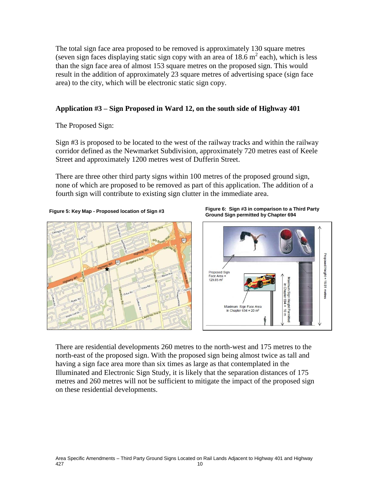The total sign face area proposed to be removed is approximately 130 square metres (seven sign faces displaying static sign copy with an area of  $18.6 \text{ m}^2$  each), which is less than the sign face area of almost 153 square metres on the proposed sign. This would result in the addition of approximately 23 square metres of advertising space (sign face area) to the city, which will be electronic static sign copy.

#### **Application #3 – Sign Proposed in Ward 12, on the south side of Highway 401**

The Proposed Sign:

Sign #3 is proposed to be located to the west of the railway tracks and within the railway corridor defined as the Newmarket Subdivision, approximately 720 metres east of Keele Street and approximately 1200 metres west of Dufferin Street.

There are three other third party signs within 100 metres of the proposed ground sign, none of which are proposed to be removed as part of this application. The addition of a fourth sign will contribute to existing sign clutter in the immediate area.



**Figure 5: Key Map - Proposed location of Sign #3 Figure 6: Sign #3 in comparison to a Third Party Ground Sign permitted by Chapter 694**



There are residential developments 260 metres to the north-west and 175 metres to the north-east of the proposed sign. With the proposed sign being almost twice as tall and having a sign face area more than six times as large as that contemplated in the Illuminated and Electronic Sign Study, it is likely that the separation distances of 175 metres and 260 metres will not be sufficient to mitigate the impact of the proposed sign on these residential developments.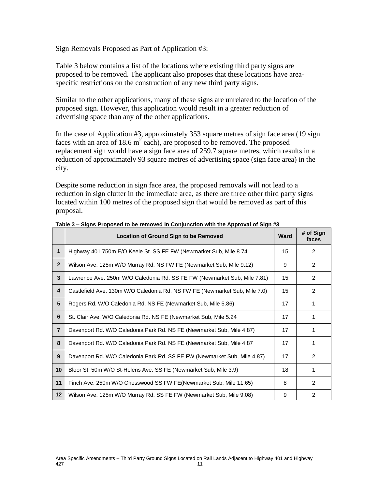Sign Removals Proposed as Part of Application #3:

Table 3 below contains a list of the locations where existing third party signs are proposed to be removed. The applicant also proposes that these locations have areaspecific restrictions on the construction of any new third party signs.

Similar to the other applications, many of these signs are unrelated to the location of the proposed sign. However, this application would result in a greater reduction of advertising space than any of the other applications.

In the case of Application #3, approximately 353 square metres of sign face area (19 sign faces with an area of 18.6  $m^2$  each), are proposed to be removed. The proposed replacement sign would have a sign face area of 259.7 square metres, which results in a reduction of approximately 93 square metres of advertising space (sign face area) in the city.

Despite some reduction in sign face area, the proposed removals will not lead to a reduction in sign clutter in the immediate area, as there are three other third party signs located within 100 metres of the proposed sign that would be removed as part of this proposal.

|                | <b>Location of Ground Sign to be Removed</b>                               | <b>Ward</b> | # of Sign<br>faces |
|----------------|----------------------------------------------------------------------------|-------------|--------------------|
| $\mathbf 1$    | Highway 401 750m E/O Keele St. SS FE FW (Newmarket Sub, Mile 8.74          | 15          | 2                  |
| $\overline{2}$ | Wilson Ave. 125m W/O Murray Rd. NS FW FE (Newmarket Sub, Mile 9.12)        | 9           | $\overline{2}$     |
| 3              | Lawrence Ave. 250m W/O Caledonia Rd. SS FE FW (Newmarket Sub, Mile 7.81)   | 15          | $\overline{2}$     |
| 4              | Castlefield Ave. 130m W/O Caledonia Rd. NS FW FE (Newmarket Sub, Mile 7.0) | 15          | 2                  |
| 5              | Rogers Rd. W/O Caledonia Rd. NS FE (Newmarket Sub, Mile 5.86)              | 17          |                    |
| 6              | St. Clair Ave. W/O Caledonia Rd. NS FE (Newmarket Sub, Mile 5.24           | 17          | 1                  |
| $\overline{7}$ | Davenport Rd. W/O Caledonia Park Rd. NS FE (Newmarket Sub, Mile 4.87)      | 17          | 1                  |
| 8              | Davenport Rd. W/O Caledonia Park Rd. NS FE (Newmarket Sub, Mile 4.87       | 17          | 1                  |
| 9              | Davenport Rd. W/O Caledonia Park Rd. SS FE FW (Newmarket Sub, Mile 4.87)   | 17          | 2                  |
| 10             | Bloor St. 50m W/O St-Helens Ave. SS FE (Newmarket Sub, Mile 3.9)           | 18          | 1                  |
| 11             | Finch Ave. 250m W/O Chesswood SS FW FE(Newmarket Sub, Mile 11.65)          | 8           | $\mathcal{P}$      |
| 12             | Wilson Ave. 125m W/O Murray Rd. SS FE FW (Newmarket Sub, Mile 9.08)        | 9           | $\overline{2}$     |

**Table 3 – Signs Proposed to be removed In Conjunction with the Approval of Sign #3**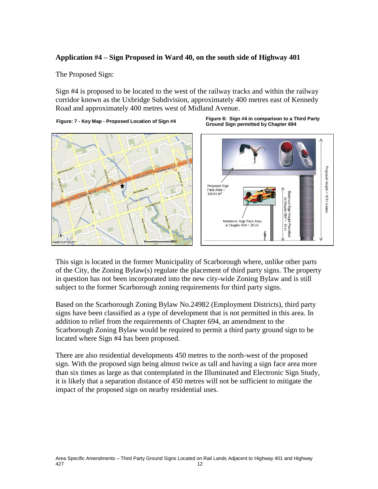#### **Application #4 – Sign Proposed in Ward 40, on the south side of Highway 401**

The Proposed Sign:

Sign #4 is proposed to be located to the west of the railway tracks and within the railway corridor known as the Uxbridge Subdivision, approximately 400 metres east of Kennedy Road and approximately 400 metres west of Midland Avenue.

**Figure: 7 - Key Map - Proposed Location of Sign #4 Figure 8: Sign #4 in comparison to a Third Party** 





**Ground Sign permitted by Chapter 694**

This sign is located in the former Municipality of Scarborough where, unlike other parts of the City, the Zoning Bylaw(s) regulate the placement of third party signs. The property in question has not been incorporated into the new city-wide Zoning Bylaw and is still subject to the former Scarborough zoning requirements for third party signs.

Based on the Scarborough Zoning Bylaw No.24982 (Employment Districts), third party signs have been classified as a type of development that is not permitted in this area. In addition to relief from the requirements of Chapter 694, an amendment to the Scarborough Zoning Bylaw would be required to permit a third party ground sign to be located where Sign #4 has been proposed.

There are also residential developments 450 metres to the north-west of the proposed sign. With the proposed sign being almost twice as tall and having a sign face area more than six times as large as that contemplated in the Illuminated and Electronic Sign Study, it is likely that a separation distance of 450 metres will not be sufficient to mitigate the impact of the proposed sign on nearby residential uses.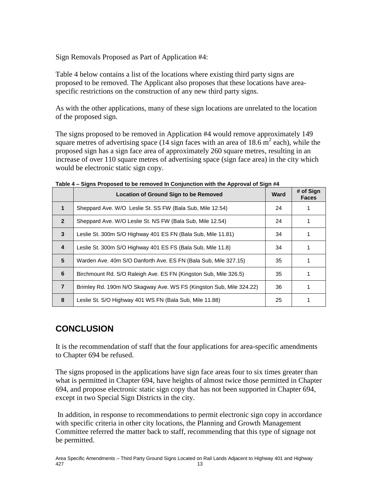Sign Removals Proposed as Part of Application #4:

Table 4 below contains a list of the locations where existing third party signs are proposed to be removed. The Applicant also proposes that these locations have areaspecific restrictions on the construction of any new third party signs.

As with the other applications, many of these sign locations are unrelated to the location of the proposed sign.

The signs proposed to be removed in Application #4 would remove approximately 149 square metres of advertising space (14 sign faces with an area of 18.6  $\text{m}^2$  each), while the proposed sign has a sign face area of approximately 260 square metres, resulting in an increase of over 110 square metres of advertising space (sign face area) in the city which would be electronic static sign copy.

|                 | <u>eighe i repecca të së rënjërës ni evrijanëtien mun the rippretarer eng</u><br><b>Location of Ground Sign to be Removed</b> | Ward | # of Sign<br><b>Faces</b> |
|-----------------|-------------------------------------------------------------------------------------------------------------------------------|------|---------------------------|
| $\mathbf 1$     | Sheppard Ave. W/O Leslie St. SS FW (Bala Sub, Mile 12.54)                                                                     | 24   |                           |
| $\overline{2}$  | Sheppard Ave. W/O Leslie St. NS FW (Bala Sub, Mile 12.54)                                                                     | 24   |                           |
| 3               | Leslie St. 300m S/O Highway 401 ES FN (Bala Sub, Mile 11.81)                                                                  | 34   |                           |
| 4               | Leslie St. 300m S/O Highway 401 ES FS (Bala Sub, Mile 11.8)                                                                   | 34   |                           |
| $5\phantom{.0}$ | Warden Ave. 40m S/O Danforth Ave. ES FN (Bala Sub, Mile 327.15)                                                               | 35   |                           |
| 6               | Birchmount Rd. S/O Raleigh Ave. ES FN (Kingston Sub, Mile 326.5)                                                              | 35   |                           |
| 7               | Brimley Rd. 190m N/O Skagway Ave. WS FS (Kingston Sub, Mile 324.22)                                                           | 36   |                           |
| 8               | Leslie St. S/O Highway 401 WS FN (Bala Sub, Mile 11.88)                                                                       | 25   |                           |

**Table 4 – Signs Proposed to be removed In Conjunction with the Approval of Sign #4**

## **CONCLUSION**

It is the recommendation of staff that the four applications for area-specific amendments to Chapter 694 be refused.

The signs proposed in the applications have sign face areas four to six times greater than what is permitted in Chapter 694, have heights of almost twice those permitted in Chapter 694, and propose electronic static sign copy that has not been supported in Chapter 694, except in two Special Sign Districts in the city.

In addition, in response to recommendations to permit electronic sign copy in accordance with specific criteria in other city locations, the Planning and Growth Management Committee referred the matter back to staff, recommending that this type of signage not be permitted.